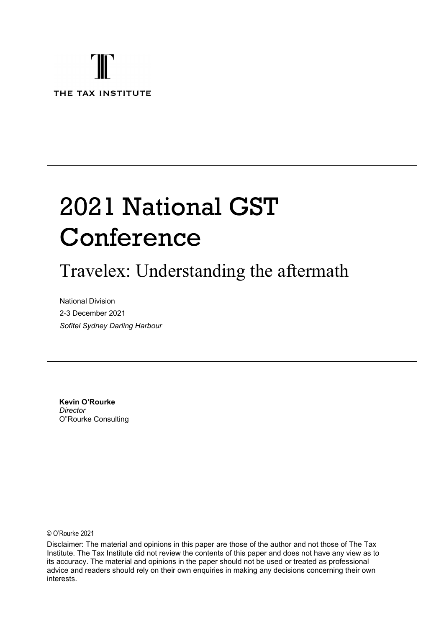## T THE TAX INSTITUTE

# 2021 National GST Conference

## Travelex: Understanding the aftermath

National Division 2-3 December 2021 Sofitel Sydney Darling Harbour

Kevin O'Rourke **Director** O"Rourke Consulting

© O'Rourke 2021

Disclaimer: The material and opinions in this paper are those of the author and not those of The Tax Institute. The Tax Institute did not review the contents of this paper and does not have any view as to its accuracy. The material and opinions in the paper should not be used or treated as professional advice and readers should rely on their own enquiries in making any decisions concerning their own interests.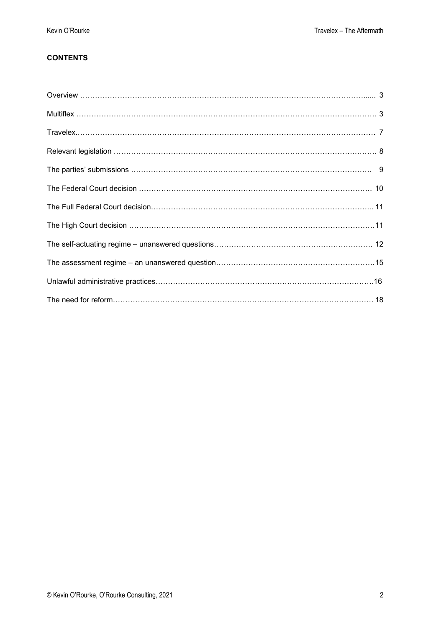#### **CONTENTS**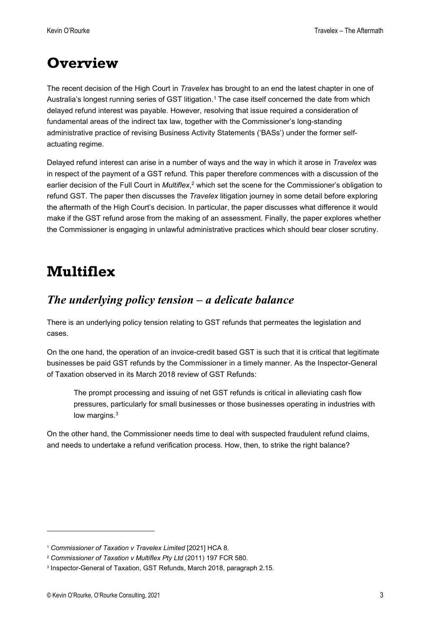## **Overview**

The recent decision of the High Court in Travelex has brought to an end the latest chapter in one of Australia's longest running series of GST litigation.<sup>1</sup> The case itself concerned the date from which delayed refund interest was payable. However, resolving that issue required a consideration of fundamental areas of the indirect tax law, together with the Commissioner's long-standing administrative practice of revising Business Activity Statements ('BASs') under the former selfactuating regime.

Delayed refund interest can arise in a number of ways and the way in which it arose in Travelex was in respect of the payment of a GST refund. This paper therefore commences with a discussion of the earlier decision of the Full Court in *Multiflex*,<sup>2</sup> which set the scene for the Commissioner's obligation to refund GST. The paper then discusses the Travelex litigation journey in some detail before exploring the aftermath of the High Court's decision. In particular, the paper discusses what difference it would make if the GST refund arose from the making of an assessment. Finally, the paper explores whether the Commissioner is engaging in unlawful administrative practices which should bear closer scrutiny.

### Multiflex

#### The underlying policy tension – a delicate balance

There is an underlying policy tension relating to GST refunds that permeates the legislation and cases.

On the one hand, the operation of an invoice-credit based GST is such that it is critical that legitimate businesses be paid GST refunds by the Commissioner in a timely manner. As the Inspector-General of Taxation observed in its March 2018 review of GST Refunds:

The prompt processing and issuing of net GST refunds is critical in alleviating cash flow pressures, particularly for small businesses or those businesses operating in industries with low margins.<sup>3</sup>

On the other hand, the Commissioner needs time to deal with suspected fraudulent refund claims, and needs to undertake a refund verification process. How, then, to strike the right balance?

<sup>1</sup> Commissioner of Taxation v Travelex Limited [2021] HCA 8.

<sup>&</sup>lt;sup>2</sup> Commissioner of Taxation v Multiflex Pty Ltd (2011) 197 FCR 580.

<sup>3</sup> Inspector-General of Taxation, GST Refunds, March 2018, paragraph 2.15.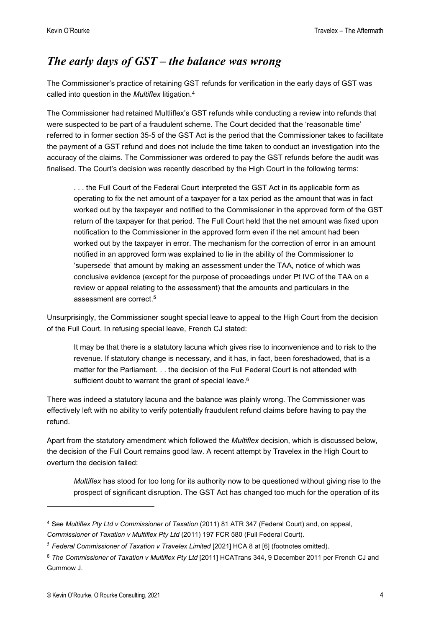#### The early days of GST – the balance was wrong

The Commissioner's practice of retaining GST refunds for verification in the early days of GST was called into question in the Multiflex litigation.<sup>4</sup>

The Commissioner had retained Multliflex's GST refunds while conducting a review into refunds that were suspected to be part of a fraudulent scheme. The Court decided that the 'reasonable time' referred to in former section 35-5 of the GST Act is the period that the Commissioner takes to facilitate the payment of a GST refund and does not include the time taken to conduct an investigation into the accuracy of the claims. The Commissioner was ordered to pay the GST refunds before the audit was finalised. The Court's decision was recently described by the High Court in the following terms:

. . . the Full Court of the Federal Court interpreted the GST Act in its applicable form as operating to fix the net amount of a taxpayer for a tax period as the amount that was in fact worked out by the taxpayer and notified to the Commissioner in the approved form of the GST return of the taxpayer for that period. The Full Court held that the net amount was fixed upon notification to the Commissioner in the approved form even if the net amount had been worked out by the taxpayer in error. The mechanism for the correction of error in an amount notified in an approved form was explained to lie in the ability of the Commissioner to 'supersede' that amount by making an assessment under the TAA, notice of which was conclusive evidence (except for the purpose of proceedings under Pt IVC of the TAA on a review or appeal relating to the assessment) that the amounts and particulars in the assessment are correct.<sup>5</sup>

Unsurprisingly, the Commissioner sought special leave to appeal to the High Court from the decision of the Full Court. In refusing special leave, French CJ stated:

It may be that there is a statutory lacuna which gives rise to inconvenience and to risk to the revenue. If statutory change is necessary, and it has, in fact, been foreshadowed, that is a matter for the Parliament. . . the decision of the Full Federal Court is not attended with sufficient doubt to warrant the grant of special leave.<sup>6</sup>

There was indeed a statutory lacuna and the balance was plainly wrong. The Commissioner was effectively left with no ability to verify potentially fraudulent refund claims before having to pay the refund.

Apart from the statutory amendment which followed the *Multiflex* decision, which is discussed below, the decision of the Full Court remains good law. A recent attempt by Travelex in the High Court to overturn the decision failed:

Multiflex has stood for too long for its authority now to be questioned without giving rise to the prospect of significant disruption. The GST Act has changed too much for the operation of its

<sup>4</sup> See Multiflex Pty Ltd v Commissioner of Taxation (2011) 81 ATR 347 (Federal Court) and, on appeal, Commissioner of Taxation v Multiflex Pty Ltd (2011) 197 FCR 580 (Full Federal Court).

 $5$  Federal Commissioner of Taxation v Travelex Limited [2021] HCA 8 at [6] (footnotes omitted).

<sup>&</sup>lt;sup>6</sup> The Commissioner of Taxation v Multiflex Pty Ltd [2011] HCATrans 344, 9 December 2011 per French CJ and Gummow J.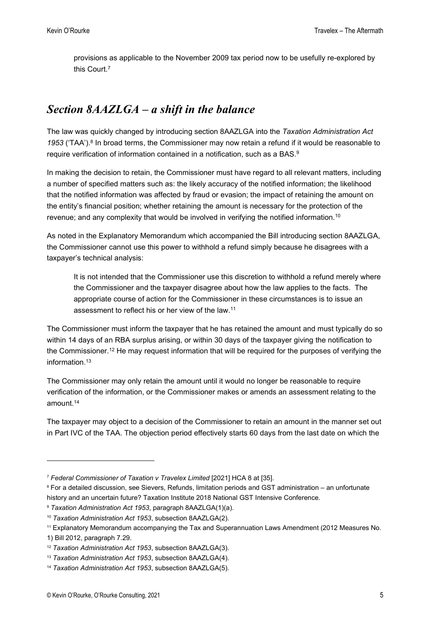provisions as applicable to the November 2009 tax period now to be usefully re-explored by this Court.<sup>7</sup>

#### Section 8AAZLGA – a shift in the balance

The law was quickly changed by introducing section 8AAZLGA into the Taxation Administration Act 1953 ('TAA').<sup>8</sup> In broad terms, the Commissioner may now retain a refund if it would be reasonable to require verification of information contained in a notification, such as a BAS.<sup>9</sup>

In making the decision to retain, the Commissioner must have regard to all relevant matters, including a number of specified matters such as: the likely accuracy of the notified information; the likelihood that the notified information was affected by fraud or evasion; the impact of retaining the amount on the entity's financial position; whether retaining the amount is necessary for the protection of the revenue; and any complexity that would be involved in verifying the notified information.<sup>10</sup>

As noted in the Explanatory Memorandum which accompanied the Bill introducing section 8AAZLGA, the Commissioner cannot use this power to withhold a refund simply because he disagrees with a taxpayer's technical analysis:

It is not intended that the Commissioner use this discretion to withhold a refund merely where the Commissioner and the taxpayer disagree about how the law applies to the facts. The appropriate course of action for the Commissioner in these circumstances is to issue an assessment to reflect his or her view of the law.<sup>11</sup>

The Commissioner must inform the taxpayer that he has retained the amount and must typically do so within 14 days of an RBA surplus arising, or within 30 days of the taxpayer giving the notification to the Commissioner.<sup>12</sup> He may request information that will be required for the purposes of verifying the information.<sup>13</sup>

The Commissioner may only retain the amount until it would no longer be reasonable to require verification of the information, or the Commissioner makes or amends an assessment relating to the amount.<sup>14</sup>

The taxpayer may object to a decision of the Commissioner to retain an amount in the manner set out in Part IVC of the TAA. The objection period effectively starts 60 days from the last date on which the

<sup>7</sup> Federal Commissioner of Taxation v Travelex Limited [2021] HCA 8 at [35].

<sup>8</sup> For a detailed discussion, see Sievers, Refunds, limitation periods and GST administration – an unfortunate history and an uncertain future? Taxation Institute 2018 National GST Intensive Conference.

<sup>&</sup>lt;sup>9</sup> Taxation Administration Act 1953, paragraph 8AAZLGA(1)(a).

<sup>&</sup>lt;sup>10</sup> Taxation Administration Act 1953, subsection 8AAZLGA(2).

<sup>11</sup> Explanatory Memorandum accompanying the Tax and Superannuation Laws Amendment (2012 Measures No.

<sup>1)</sup> Bill 2012, paragraph 7.29.

<sup>&</sup>lt;sup>12</sup> Taxation Administration Act 1953, subsection 8AAZLGA(3).

<sup>&</sup>lt;sup>13</sup> Taxation Administration Act 1953, subsection 8AAZLGA(4).

<sup>&</sup>lt;sup>14</sup> Taxation Administration Act 1953, subsection 8AAZLGA(5).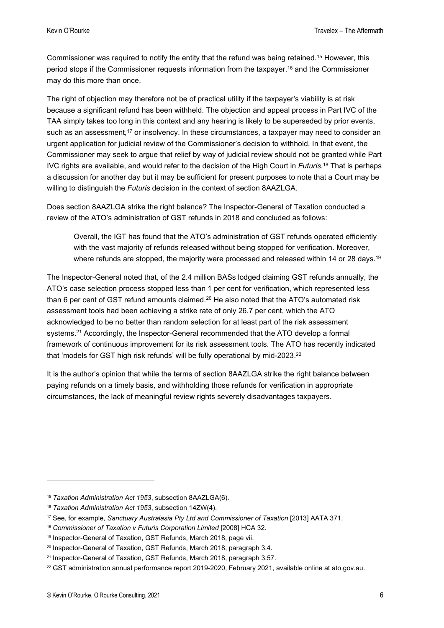Commissioner was required to notify the entity that the refund was being retained.<sup>15</sup> However, this period stops if the Commissioner requests information from the taxpayer.<sup>16</sup> and the Commissioner may do this more than once.

The right of objection may therefore not be of practical utility if the taxpayer's viability is at risk because a significant refund has been withheld. The objection and appeal process in Part IVC of the TAA simply takes too long in this context and any hearing is likely to be superseded by prior events, such as an assessment,<sup>17</sup> or insolvency. In these circumstances, a taxpayer may need to consider an urgent application for judicial review of the Commissioner's decision to withhold. In that event, the Commissioner may seek to argue that relief by way of judicial review should not be granted while Part IVC rights are available, and would refer to the decision of the High Court in Futuris.<sup>18</sup> That is perhaps a discussion for another day but it may be sufficient for present purposes to note that a Court may be willing to distinguish the *Futuris* decision in the context of section 8AAZLGA.

Does section 8AAZLGA strike the right balance? The Inspector-General of Taxation conducted a review of the ATO's administration of GST refunds in 2018 and concluded as follows:

Overall, the IGT has found that the ATO's administration of GST refunds operated efficiently with the vast majority of refunds released without being stopped for verification. Moreover, where refunds are stopped, the majority were processed and released within 14 or 28 days.<sup>19</sup>

The Inspector-General noted that, of the 2.4 million BASs lodged claiming GST refunds annually, the ATO's case selection process stopped less than 1 per cent for verification, which represented less than 6 per cent of GST refund amounts claimed.<sup>20</sup> He also noted that the ATO's automated risk assessment tools had been achieving a strike rate of only 26.7 per cent, which the ATO acknowledged to be no better than random selection for at least part of the risk assessment systems.<sup>21</sup> Accordingly, the Inspector-General recommended that the ATO develop a formal framework of continuous improvement for its risk assessment tools. The ATO has recently indicated that 'models for GST high risk refunds' will be fully operational by mid-2023.<sup>22</sup>

It is the author's opinion that while the terms of section 8AAZLGA strike the right balance between paying refunds on a timely basis, and withholding those refunds for verification in appropriate circumstances, the lack of meaningful review rights severely disadvantages taxpayers.

<sup>&</sup>lt;sup>15</sup> Taxation Administration Act 1953, subsection 8AAZLGA(6).

<sup>&</sup>lt;sup>16</sup> Taxation Administration Act 1953, subsection 14ZW(4).

<sup>&</sup>lt;sup>17</sup> See, for example, Sanctuary Australasia Pty Ltd and Commissioner of Taxation [2013] AATA 371.

<sup>&</sup>lt;sup>18</sup> Commissioner of Taxation v Futuris Corporation Limited [2008] HCA 32.

<sup>19</sup> Inspector-General of Taxation, GST Refunds, March 2018, page vii.

<sup>&</sup>lt;sup>20</sup> Inspector-General of Taxation, GST Refunds, March 2018, paragraph 3.4.

<sup>&</sup>lt;sup>21</sup> Inspector-General of Taxation, GST Refunds, March 2018, paragraph 3.57.

<sup>&</sup>lt;sup>22</sup> GST administration annual performance report 2019-2020, February 2021, available online at ato.gov.au.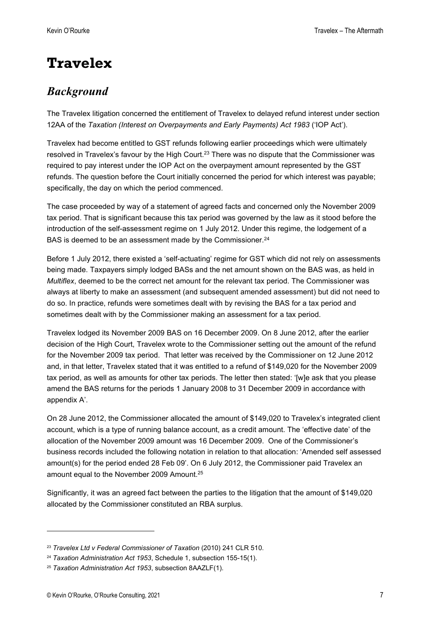## **Travelex**

#### Background

The Travelex litigation concerned the entitlement of Travelex to delayed refund interest under section 12AA of the Taxation (Interest on Overpayments and Early Payments) Act 1983 ('IOP Act').

Travelex had become entitled to GST refunds following earlier proceedings which were ultimately resolved in Travelex's favour by the High Court.<sup>23</sup> There was no dispute that the Commissioner was required to pay interest under the IOP Act on the overpayment amount represented by the GST refunds. The question before the Court initially concerned the period for which interest was payable; specifically, the day on which the period commenced.

The case proceeded by way of a statement of agreed facts and concerned only the November 2009 tax period. That is significant because this tax period was governed by the law as it stood before the introduction of the self-assessment regime on 1 July 2012. Under this regime, the lodgement of a BAS is deemed to be an assessment made by the Commissioner.<sup>24</sup>

Before 1 July 2012, there existed a 'self-actuating' regime for GST which did not rely on assessments being made. Taxpayers simply lodged BASs and the net amount shown on the BAS was, as held in Multiflex, deemed to be the correct net amount for the relevant tax period. The Commissioner was always at liberty to make an assessment (and subsequent amended assessment) but did not need to do so. In practice, refunds were sometimes dealt with by revising the BAS for a tax period and sometimes dealt with by the Commissioner making an assessment for a tax period.

Travelex lodged its November 2009 BAS on 16 December 2009. On 8 June 2012, after the earlier decision of the High Court, Travelex wrote to the Commissioner setting out the amount of the refund for the November 2009 tax period. That letter was received by the Commissioner on 12 June 2012 and, in that letter, Travelex stated that it was entitled to a refund of \$149,020 for the November 2009 tax period, as well as amounts for other tax periods. The letter then stated: '[w]e ask that you please amend the BAS returns for the periods 1 January 2008 to 31 December 2009 in accordance with appendix A'.

On 28 June 2012, the Commissioner allocated the amount of \$149,020 to Travelex's integrated client account, which is a type of running balance account, as a credit amount. The 'effective date' of the allocation of the November 2009 amount was 16 December 2009. One of the Commissioner's business records included the following notation in relation to that allocation: 'Amended self assessed amount(s) for the period ended 28 Feb 09'. On 6 July 2012, the Commissioner paid Travelex an amount equal to the November 2009 Amount.<sup>25</sup>

Significantly, it was an agreed fact between the parties to the litigation that the amount of \$149,020 allocated by the Commissioner constituted an RBA surplus.

<sup>&</sup>lt;sup>23</sup> Travelex Ltd v Federal Commissioner of Taxation (2010) 241 CLR 510.

 $24$  Taxation Administration Act 1953, Schedule 1, subsection 155-15(1).

<sup>&</sup>lt;sup>25</sup> Taxation Administration Act 1953, subsection 8AAZLF(1).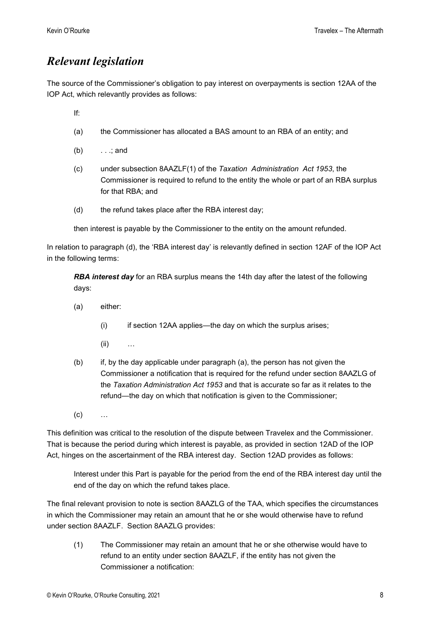#### Relevant legislation

The source of the Commissioner's obligation to pay interest on overpayments is section 12AA of the IOP Act, which relevantly provides as follows:

If:

- (a) the Commissioner has allocated a BAS amount to an RBA of an entity; and
- (b) . . .; and
- (c) under subsection 8AAZLF(1) of the Taxation Administration Act 1953, the Commissioner is required to refund to the entity the whole or part of an RBA surplus for that RBA; and
- (d) the refund takes place after the RBA interest day;

then interest is payable by the Commissioner to the entity on the amount refunded.

In relation to paragraph (d), the 'RBA interest day' is relevantly defined in section 12AF of the IOP Act in the following terms:

**RBA interest day** for an RBA surplus means the 14th day after the latest of the following days:

- (a) either:
	- $(i)$  if section 12AA applies—the day on which the surplus arises;
	- (ii) …
- (b) if, by the day applicable under paragraph (a), the person has not given the Commissioner a notification that is required for the refund under section 8AAZLG of the Taxation Administration Act 1953 and that is accurate so far as it relates to the refund—the day on which that notification is given to the Commissioner;
- $(c)$  …

This definition was critical to the resolution of the dispute between Travelex and the Commissioner. That is because the period during which interest is payable, as provided in section 12AD of the IOP Act, hinges on the ascertainment of the RBA interest day. Section 12AD provides as follows:

Interest under this Part is payable for the period from the end of the RBA interest day until the end of the day on which the refund takes place.

The final relevant provision to note is section 8AAZLG of the TAA, which specifies the circumstances in which the Commissioner may retain an amount that he or she would otherwise have to refund under section 8AAZLF. Section 8AAZLG provides:

(1) The Commissioner may retain an amount that he or she otherwise would have to refund to an entity under section 8AAZLF, if the entity has not given the Commissioner a notification: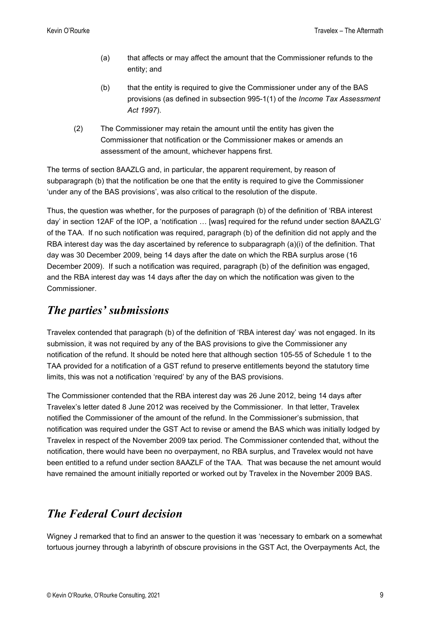- (a) that affects or may affect the amount that the Commissioner refunds to the entity; and
- (b) that the entity is required to give the Commissioner under any of the BAS provisions (as defined in subsection 995-1(1) of the Income Tax Assessment Act 1997).
- (2) The Commissioner may retain the amount until the entity has given the Commissioner that notification or the Commissioner makes or amends an assessment of the amount, whichever happens first.

The terms of section 8AAZLG and, in particular, the apparent requirement, by reason of subparagraph (b) that the notification be one that the entity is required to give the Commissioner 'under any of the BAS provisions', was also critical to the resolution of the dispute.

Thus, the question was whether, for the purposes of paragraph (b) of the definition of 'RBA interest day' in section 12AF of the IOP, a 'notification … [was] required for the refund under section 8AAZLG' of the TAA. If no such notification was required, paragraph (b) of the definition did not apply and the RBA interest day was the day ascertained by reference to subparagraph (a)(i) of the definition. That day was 30 December 2009, being 14 days after the date on which the RBA surplus arose (16 December 2009). If such a notification was required, paragraph (b) of the definition was engaged, and the RBA interest day was 14 days after the day on which the notification was given to the Commissioner.

#### The parties' submissions

Travelex contended that paragraph (b) of the definition of 'RBA interest day' was not engaged. In its submission, it was not required by any of the BAS provisions to give the Commissioner any notification of the refund. It should be noted here that although section 105-55 of Schedule 1 to the TAA provided for a notification of a GST refund to preserve entitlements beyond the statutory time limits, this was not a notification 'required' by any of the BAS provisions.

The Commissioner contended that the RBA interest day was 26 June 2012, being 14 days after Travelex's letter dated 8 June 2012 was received by the Commissioner. In that letter, Travelex notified the Commissioner of the amount of the refund. In the Commissioner's submission, that notification was required under the GST Act to revise or amend the BAS which was initially lodged by Travelex in respect of the November 2009 tax period. The Commissioner contended that, without the notification, there would have been no overpayment, no RBA surplus, and Travelex would not have been entitled to a refund under section 8AAZLF of the TAA. That was because the net amount would have remained the amount initially reported or worked out by Travelex in the November 2009 BAS.

#### The Federal Court decision

Wigney J remarked that to find an answer to the question it was 'necessary to embark on a somewhat tortuous journey through a labyrinth of obscure provisions in the GST Act, the Overpayments Act, the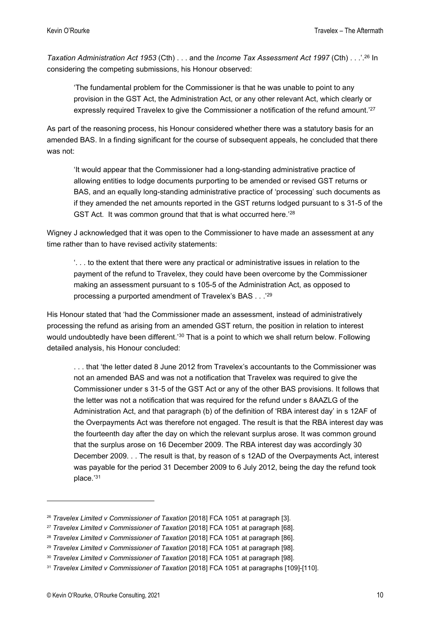Taxation Administration Act 1953 (Cth) . . . and the Income Tax Assessment Act 1997 (Cth) . . . . <sup>26</sup> In considering the competing submissions, his Honour observed:

'The fundamental problem for the Commissioner is that he was unable to point to any provision in the GST Act, the Administration Act, or any other relevant Act, which clearly or expressly required Travelex to give the Commissioner a notification of the refund amount.'<sup>27</sup>

As part of the reasoning process, his Honour considered whether there was a statutory basis for an amended BAS. In a finding significant for the course of subsequent appeals, he concluded that there was not:

'It would appear that the Commissioner had a long-standing administrative practice of allowing entities to lodge documents purporting to be amended or revised GST returns or BAS, and an equally long-standing administrative practice of 'processing' such documents as if they amended the net amounts reported in the GST returns lodged pursuant to s 31-5 of the GST Act. It was common ground that that is what occurred here.'28

Wigney J acknowledged that it was open to the Commissioner to have made an assessment at any time rather than to have revised activity statements:

'. . . to the extent that there were any practical or administrative issues in relation to the payment of the refund to Travelex, they could have been overcome by the Commissioner making an assessment pursuant to s 105-5 of the Administration Act, as opposed to processing a purported amendment of Travelex's BAS . . .'<sup>29</sup>

His Honour stated that 'had the Commissioner made an assessment, instead of administratively processing the refund as arising from an amended GST return, the position in relation to interest would undoubtedly have been different.'<sup>30</sup> That is a point to which we shall return below. Following detailed analysis, his Honour concluded:

. . . that 'the letter dated 8 June 2012 from Travelex's accountants to the Commissioner was not an amended BAS and was not a notification that Travelex was required to give the Commissioner under s 31-5 of the GST Act or any of the other BAS provisions. It follows that the letter was not a notification that was required for the refund under s 8AAZLG of the Administration Act, and that paragraph (b) of the definition of 'RBA interest day' in s 12AF of the Overpayments Act was therefore not engaged. The result is that the RBA interest day was the fourteenth day after the day on which the relevant surplus arose. It was common ground that the surplus arose on 16 December 2009. The RBA interest day was accordingly 30 December 2009. . . The result is that, by reason of s 12AD of the Overpayments Act, interest was payable for the period 31 December 2009 to 6 July 2012, being the day the refund took place.'<sup>31</sup>

<sup>&</sup>lt;sup>26</sup> Travelex Limited v Commissioner of Taxation [2018] FCA 1051 at paragraph [3].

 $27$  Travelex Limited v Commissioner of Taxation [2018] FCA 1051 at paragraph [68].

<sup>&</sup>lt;sup>28</sup> Travelex Limited y Commissioner of Taxation [2018] FCA 1051 at paragraph [86].

<sup>&</sup>lt;sup>29</sup> Travelex Limited v Commissioner of Taxation [2018] FCA 1051 at paragraph [98].

<sup>&</sup>lt;sup>30</sup> Travelex Limited v Commissioner of Taxation [2018] FCA 1051 at paragraph [98].

<sup>&</sup>lt;sup>31</sup> Travelex Limited v Commissioner of Taxation [2018] FCA 1051 at paragraphs [109]-[110].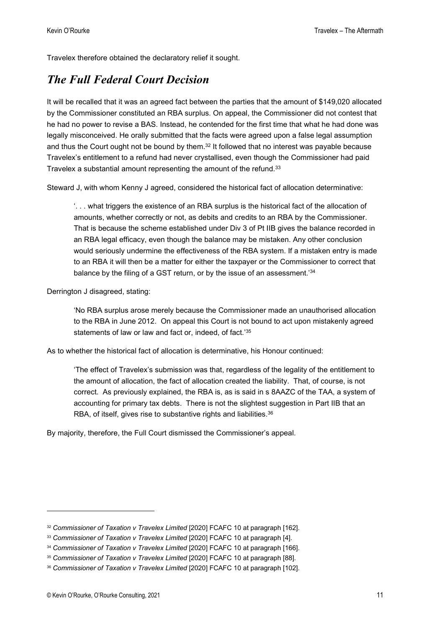Travelex therefore obtained the declaratory relief it sought.

#### The Full Federal Court Decision

It will be recalled that it was an agreed fact between the parties that the amount of \$149,020 allocated by the Commissioner constituted an RBA surplus. On appeal, the Commissioner did not contest that he had no power to revise a BAS. Instead, he contended for the first time that what he had done was legally misconceived. He orally submitted that the facts were agreed upon a false legal assumption and thus the Court ought not be bound by them. $32$  It followed that no interest was payable because Travelex's entitlement to a refund had never crystallised, even though the Commissioner had paid Travelex a substantial amount representing the amount of the refund.<sup>33</sup>

Steward J, with whom Kenny J agreed, considered the historical fact of allocation determinative:

'. . . what triggers the existence of an RBA surplus is the historical fact of the allocation of amounts, whether correctly or not, as debits and credits to an RBA by the Commissioner. That is because the scheme established under Div 3 of Pt IIB gives the balance recorded in an RBA legal efficacy, even though the balance may be mistaken. Any other conclusion would seriously undermine the effectiveness of the RBA system. If a mistaken entry is made to an RBA it will then be a matter for either the taxpayer or the Commissioner to correct that balance by the filing of a GST return, or by the issue of an assessment.'34

Derrington J disagreed, stating:

'No RBA surplus arose merely because the Commissioner made an unauthorised allocation to the RBA in June 2012. On appeal this Court is not bound to act upon mistakenly agreed statements of law or law and fact or, indeed, of fact.<sup>'35</sup>

As to whether the historical fact of allocation is determinative, his Honour continued:

'The effect of Travelex's submission was that, regardless of the legality of the entitlement to the amount of allocation, the fact of allocation created the liability. That, of course, is not correct. As previously explained, the RBA is, as is said in s 8AAZC of the TAA, a system of accounting for primary tax debts. There is not the slightest suggestion in Part IIB that an RBA, of itself, gives rise to substantive rights and liabilities.<sup>36</sup>

By majority, therefore, the Full Court dismissed the Commissioner's appeal.

<sup>&</sup>lt;sup>32</sup> Commissioner of Taxation v Travelex Limited [2020] FCAFC 10 at paragraph [162].

<sup>&</sup>lt;sup>33</sup> Commissioner of Taxation v Travelex Limited [2020] FCAFC 10 at paragraph [4].

<sup>&</sup>lt;sup>34</sup> Commissioner of Taxation v Travelex Limited [2020] FCAFC 10 at paragraph [166].

<sup>&</sup>lt;sup>35</sup> Commissioner of Taxation v Travelex Limited [2020] FCAFC 10 at paragraph [88].

<sup>36</sup> Commissioner of Taxation v Travelex Limited [2020] FCAFC 10 at paragraph [102].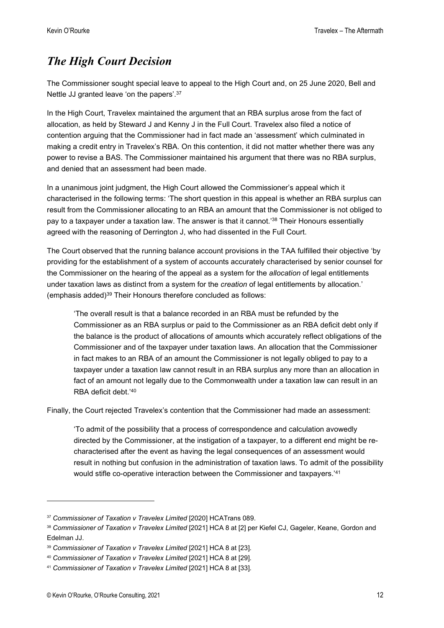#### The High Court Decision

The Commissioner sought special leave to appeal to the High Court and, on 25 June 2020, Bell and Nettle JJ granted leave 'on the papers'.<sup>37</sup>

In the High Court, Travelex maintained the argument that an RBA surplus arose from the fact of allocation, as held by Steward J and Kenny J in the Full Court. Travelex also filed a notice of contention arguing that the Commissioner had in fact made an 'assessment' which culminated in making a credit entry in Travelex's RBA. On this contention, it did not matter whether there was any power to revise a BAS. The Commissioner maintained his argument that there was no RBA surplus, and denied that an assessment had been made.

In a unanimous joint judgment, the High Court allowed the Commissioner's appeal which it characterised in the following terms: 'The short question in this appeal is whether an RBA surplus can result from the Commissioner allocating to an RBA an amount that the Commissioner is not obliged to pay to a taxpayer under a taxation law. The answer is that it cannot.'<sup>38</sup> Their Honours essentially agreed with the reasoning of Derrington J, who had dissented in the Full Court.

The Court observed that the running balance account provisions in the TAA fulfilled their objective 'by providing for the establishment of a system of accounts accurately characterised by senior counsel for the Commissioner on the hearing of the appeal as a system for the *allocation* of legal entitlements under taxation laws as distinct from a system for the *creation* of legal entitlements by allocation.' (emphasis added)<sup>39</sup> Their Honours therefore concluded as follows:

'The overall result is that a balance recorded in an RBA must be refunded by the Commissioner as an RBA surplus or paid to the Commissioner as an RBA deficit debt only if the balance is the product of allocations of amounts which accurately reflect obligations of the Commissioner and of the taxpayer under taxation laws. An allocation that the Commissioner in fact makes to an RBA of an amount the Commissioner is not legally obliged to pay to a taxpayer under a taxation law cannot result in an RBA surplus any more than an allocation in fact of an amount not legally due to the Commonwealth under a taxation law can result in an RBA deficit debt.'<sup>40</sup>

Finally, the Court rejected Travelex's contention that the Commissioner had made an assessment:

'To admit of the possibility that a process of correspondence and calculation avowedly directed by the Commissioner, at the instigation of a taxpayer, to a different end might be recharacterised after the event as having the legal consequences of an assessment would result in nothing but confusion in the administration of taxation laws. To admit of the possibility would stifle co-operative interaction between the Commissioner and taxpayers.'<sup>41</sup>

<sup>37</sup> Commissioner of Taxation v Travelex Limited [2020] HCATrans 089.

<sup>38</sup> Commissioner of Taxation v Travelex Limited [2021] HCA 8 at [2] per Kiefel CJ, Gageler, Keane, Gordon and Edelman JJ.

<sup>&</sup>lt;sup>39</sup> Commissioner of Taxation v Travelex Limited [2021] HCA 8 at [23].

<sup>40</sup> Commissioner of Taxation v Travelex Limited [2021] HCA 8 at [29].

<sup>41</sup> Commissioner of Taxation v Travelex Limited [2021] HCA 8 at [33].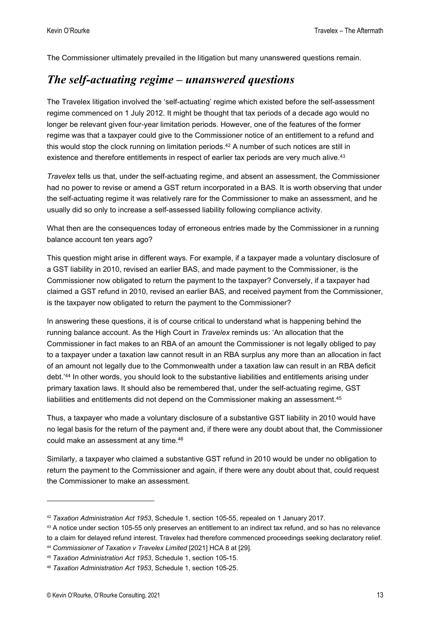The Commissioner ultimately prevailed in the litigation but many unanswered questions remain.

#### The self-actuating regime – unanswered questions

The Travelex litigation involved the 'self-actuating' regime which existed before the self-assessment regime commenced on 1 July 2012. It might be thought that tax periods of a decade ago would no longer be relevant given four-year limitation periods. However, one of the features of the former regime was that a taxpayer could give to the Commissioner notice of an entitlement to a refund and this would stop the clock running on limitation periods. $42$  A number of such notices are still in existence and therefore entitlements in respect of earlier tax periods are very much alive.<sup>43</sup>

Travelex tells us that, under the self-actuating regime, and absent an assessment, the Commissioner had no power to revise or amend a GST return incorporated in a BAS. It is worth observing that under the self-actuating regime it was relatively rare for the Commissioner to make an assessment, and he usually did so only to increase a self-assessed liability following compliance activity.

What then are the consequences today of erroneous entries made by the Commissioner in a running balance account ten years ago?

This question might arise in different ways. For example, if a taxpayer made a voluntary disclosure of a GST liability in 2010, revised an earlier BAS, and made payment to the Commissioner, is the Commissioner now obligated to return the payment to the taxpayer? Conversely, if a taxpayer had claimed a GST refund in 2010, revised an earlier BAS, and received payment from the Commissioner, is the taxpayer now obligated to return the payment to the Commissioner?

In answering these questions, it is of course critical to understand what is happening behind the running balance account. As the High Court in *Travelex* reminds us: 'An allocation that the Commissioner in fact makes to an RBA of an amount the Commissioner is not legally obliged to pay to a taxpayer under a taxation law cannot result in an RBA surplus any more than an allocation in fact of an amount not legally due to the Commonwealth under a taxation law can result in an RBA deficit debt.'<sup>44</sup> In other words, you should look to the substantive liabilities and entitlements arising under primary taxation laws. It should also be remembered that, under the self-actuating regime, GST liabilities and entitlements did not depend on the Commissioner making an assessment.<sup>45</sup>

Thus, a taxpayer who made a voluntary disclosure of a substantive GST liability in 2010 would have no legal basis for the return of the payment and, if there were any doubt about that, the Commissioner could make an assessment at any time.<sup>46</sup>

Similarly, a taxpayer who claimed a substantive GST refund in 2010 would be under no obligation to return the payment to the Commissioner and again, if there were any doubt about that, could request the Commissioner to make an assessment.

<sup>42</sup> Taxation Administration Act 1953, Schedule 1, section 105-55, repealed on 1 January 2017.

<sup>43</sup> A notice under section 105-55 only preserves an entitlement to an indirect tax refund, and so has no relevance

to a claim for delayed refund interest. Travelex had therefore commenced proceedings seeking declaratory relief. <sup>44</sup> Commissioner of Taxation v Travelex Limited [2021] HCA 8 at [29].

<sup>45</sup> Taxation Administration Act 1953, Schedule 1, section 105-15.

<sup>46</sup> Taxation Administration Act 1953, Schedule 1, section 105-25.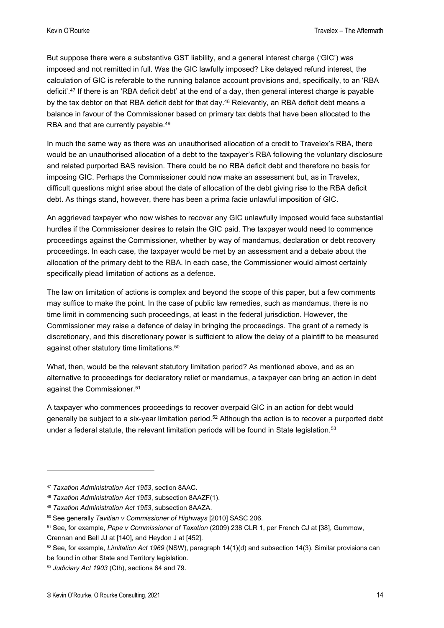But suppose there were a substantive GST liability, and a general interest charge ('GIC') was imposed and not remitted in full. Was the GIC lawfully imposed? Like delayed refund interest, the calculation of GIC is referable to the running balance account provisions and, specifically, to an 'RBA deficit'.<sup>47</sup> If there is an 'RBA deficit debt' at the end of a day, then general interest charge is payable by the tax debtor on that RBA deficit debt for that day.<sup>48</sup> Relevantly, an RBA deficit debt means a balance in favour of the Commissioner based on primary tax debts that have been allocated to the RBA and that are currently payable.<sup>49</sup>

In much the same way as there was an unauthorised allocation of a credit to Travelex's RBA, there would be an unauthorised allocation of a debt to the taxpayer's RBA following the voluntary disclosure and related purported BAS revision. There could be no RBA deficit debt and therefore no basis for imposing GIC. Perhaps the Commissioner could now make an assessment but, as in Travelex, difficult questions might arise about the date of allocation of the debt giving rise to the RBA deficit debt. As things stand, however, there has been a prima facie unlawful imposition of GIC.

An aggrieved taxpayer who now wishes to recover any GIC unlawfully imposed would face substantial hurdles if the Commissioner desires to retain the GIC paid. The taxpayer would need to commence proceedings against the Commissioner, whether by way of mandamus, declaration or debt recovery proceedings. In each case, the taxpayer would be met by an assessment and a debate about the allocation of the primary debt to the RBA. In each case, the Commissioner would almost certainly specifically plead limitation of actions as a defence.

The law on limitation of actions is complex and beyond the scope of this paper, but a few comments may suffice to make the point. In the case of public law remedies, such as mandamus, there is no time limit in commencing such proceedings, at least in the federal jurisdiction. However, the Commissioner may raise a defence of delay in bringing the proceedings. The grant of a remedy is discretionary, and this discretionary power is sufficient to allow the delay of a plaintiff to be measured against other statutory time limitations.<sup>50</sup>

What, then, would be the relevant statutory limitation period? As mentioned above, and as an alternative to proceedings for declaratory relief or mandamus, a taxpayer can bring an action in debt against the Commissioner.<sup>51</sup>

A taxpayer who commences proceedings to recover overpaid GIC in an action for debt would generally be subject to a six-year limitation period.<sup>52</sup> Although the action is to recover a purported debt under a federal statute, the relevant limitation periods will be found in State legislation. $53$ 

<sup>47</sup> Taxation Administration Act 1953, section 8AAC.

<sup>48</sup> Taxation Administration Act 1953, subsection 8AAZF(1).

<sup>49</sup> Taxation Administration Act 1953, subsection 8AAZA.

<sup>50</sup> See generally Tavitian v Commissioner of Highways [2010] SASC 206.

<sup>51</sup> See, for example, Pape v Commissioner of Taxation (2009) 238 CLR 1, per French CJ at [38], Gummow,

Crennan and Bell JJ at [140], and Heydon J at [452].

 $52$  See, for example, Limitation Act 1969 (NSW), paragraph  $14(1)(d)$  and subsection 14(3). Similar provisions can be found in other State and Territory legislation.

<sup>53</sup> Judiciary Act 1903 (Cth), sections 64 and 79.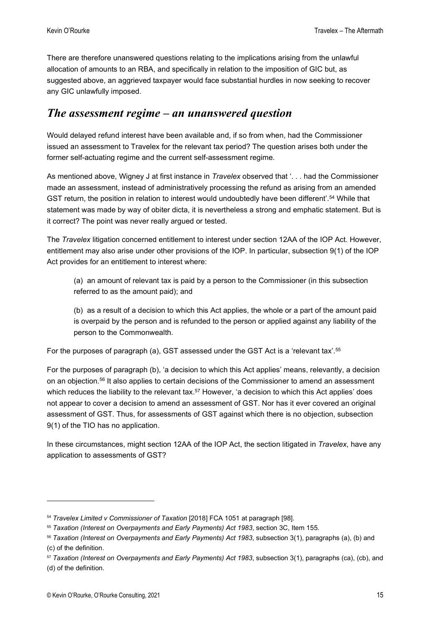There are therefore unanswered questions relating to the implications arising from the unlawful allocation of amounts to an RBA, and specifically in relation to the imposition of GIC but, as suggested above, an aggrieved taxpayer would face substantial hurdles in now seeking to recover any GIC unlawfully imposed.

#### The assessment regime – an unanswered question

Would delayed refund interest have been available and, if so from when, had the Commissioner issued an assessment to Travelex for the relevant tax period? The question arises both under the former self-actuating regime and the current self-assessment regime.

As mentioned above, Wigney J at first instance in *Travelex* observed that '... had the Commissioner made an assessment, instead of administratively processing the refund as arising from an amended GST return, the position in relation to interest would undoubtedly have been different'.<sup>54</sup> While that statement was made by way of obiter dicta, it is nevertheless a strong and emphatic statement. But is it correct? The point was never really argued or tested.

The Travelex litigation concerned entitlement to interest under section 12AA of the IOP Act. However, entitlement may also arise under other provisions of the IOP. In particular, subsection 9(1) of the IOP Act provides for an entitlement to interest where:

(a) an amount of relevant tax is paid by a person to the Commissioner (in this subsection referred to as the amount paid); and

(b) as a result of a decision to which this Act applies, the whole or a part of the amount paid is overpaid by the person and is refunded to the person or applied against any liability of the person to the Commonwealth.

For the purposes of paragraph (a), GST assessed under the GST Act is a 'relevant tax'.<sup>55</sup>

For the purposes of paragraph (b), 'a decision to which this Act applies' means, relevantly, a decision on an objection.<sup>56</sup> It also applies to certain decisions of the Commissioner to amend an assessment which reduces the liability to the relevant tax.<sup>57</sup> However, 'a decision to which this Act applies' does not appear to cover a decision to amend an assessment of GST. Nor has it ever covered an original assessment of GST. Thus, for assessments of GST against which there is no objection, subsection 9(1) of the TIO has no application.

In these circumstances, might section 12AA of the IOP Act, the section litigated in Travelex, have any application to assessments of GST?

<sup>54</sup> Travelex Limited v Commissioner of Taxation [2018] FCA 1051 at paragraph [98].

<sup>55</sup> Taxation (Interest on Overpayments and Early Payments) Act 1983, section 3C, Item 155.

<sup>56</sup> Taxation (Interest on Overpayments and Early Payments) Act 1983, subsection 3(1), paragraphs (a), (b) and (c) of the definition.

<sup>&</sup>lt;sup>57</sup> Taxation (Interest on Overpayments and Early Payments) Act 1983, subsection 3(1), paragraphs (ca), (cb), and (d) of the definition.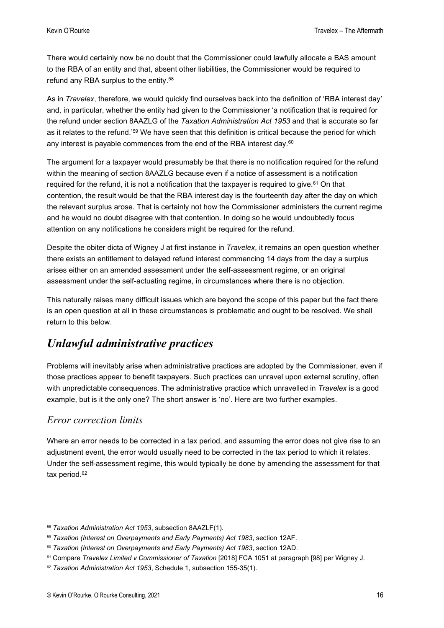There would certainly now be no doubt that the Commissioner could lawfully allocate a BAS amount to the RBA of an entity and that, absent other liabilities, the Commissioner would be required to refund any RBA surplus to the entity.<sup>58</sup>

As in Travelex, therefore, we would quickly find ourselves back into the definition of 'RBA interest day' and, in particular, whether the entity had given to the Commissioner 'a notification that is required for the refund under section 8AAZLG of the Taxation Administration Act 1953 and that is accurate so far as it relates to the refund.'<sup>59</sup> We have seen that this definition is critical because the period for which any interest is payable commences from the end of the RBA interest day. $60$ 

The argument for a taxpayer would presumably be that there is no notification required for the refund within the meaning of section 8AAZLG because even if a notice of assessment is a notification required for the refund, it is not a notification that the taxpayer is required to give.<sup>61</sup> On that contention, the result would be that the RBA interest day is the fourteenth day after the day on which the relevant surplus arose. That is certainly not how the Commissioner administers the current regime and he would no doubt disagree with that contention. In doing so he would undoubtedly focus attention on any notifications he considers might be required for the refund.

Despite the obiter dicta of Wigney J at first instance in Travelex, it remains an open question whether there exists an entitlement to delayed refund interest commencing 14 days from the day a surplus arises either on an amended assessment under the self-assessment regime, or an original assessment under the self-actuating regime, in circumstances where there is no objection.

This naturally raises many difficult issues which are beyond the scope of this paper but the fact there is an open question at all in these circumstances is problematic and ought to be resolved. We shall return to this below.

#### Unlawful administrative practices

Problems will inevitably arise when administrative practices are adopted by the Commissioner, even if those practices appear to benefit taxpayers. Such practices can unravel upon external scrutiny, often with unpredictable consequences. The administrative practice which unravelled in Travelex is a good example, but is it the only one? The short answer is 'no'. Here are two further examples.

#### Error correction limits

Where an error needs to be corrected in a tax period, and assuming the error does not give rise to an adjustment event, the error would usually need to be corrected in the tax period to which it relates. Under the self-assessment regime, this would typically be done by amending the assessment for that tax period.<sup>62</sup>

<sup>58</sup> Taxation Administration Act 1953, subsection 8AAZLF(1).

<sup>&</sup>lt;sup>59</sup> Taxation (Interest on Overpayments and Early Payments) Act 1983, section 12AF.

<sup>60</sup> Taxation (Interest on Overpayments and Early Payments) Act 1983, section 12AD.

<sup>&</sup>lt;sup>61</sup> Compare Travelex Limited v Commissioner of Taxation [2018] FCA 1051 at paragraph [98] per Wigney J.

<sup>62</sup> Taxation Administration Act 1953, Schedule 1, subsection 155-35(1).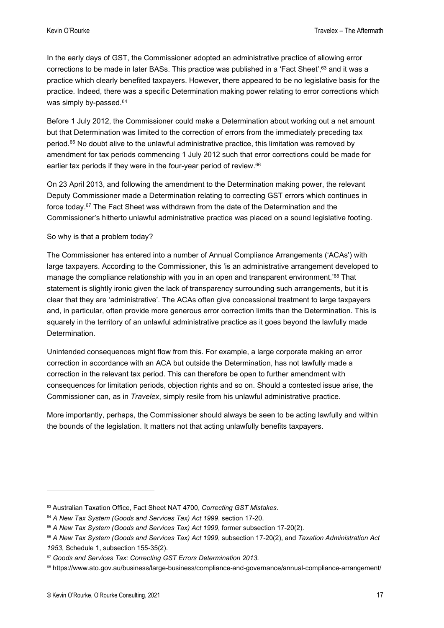In the early days of GST, the Commissioner adopted an administrative practice of allowing error corrections to be made in later BASs. This practice was published in a 'Fact Sheet', 63 and it was a practice which clearly benefited taxpayers. However, there appeared to be no legislative basis for the practice. Indeed, there was a specific Determination making power relating to error corrections which was simply by-passed.<sup>64</sup>

Before 1 July 2012, the Commissioner could make a Determination about working out a net amount but that Determination was limited to the correction of errors from the immediately preceding tax period.<sup>65</sup> No doubt alive to the unlawful administrative practice, this limitation was removed by amendment for tax periods commencing 1 July 2012 such that error corrections could be made for earlier tax periods if they were in the four-year period of review.<sup>66</sup>

On 23 April 2013, and following the amendment to the Determination making power, the relevant Deputy Commissioner made a Determination relating to correcting GST errors which continues in force today.<sup>67</sup> The Fact Sheet was withdrawn from the date of the Determination and the Commissioner's hitherto unlawful administrative practice was placed on a sound legislative footing.

#### So why is that a problem today?

The Commissioner has entered into a number of Annual Compliance Arrangements ('ACAs') with large taxpayers. According to the Commissioner, this 'is an administrative arrangement developed to manage the compliance relationship with you in an open and transparent environment.<sup>'68</sup> That statement is slightly ironic given the lack of transparency surrounding such arrangements, but it is clear that they are 'administrative'. The ACAs often give concessional treatment to large taxpayers and, in particular, often provide more generous error correction limits than the Determination. This is squarely in the territory of an unlawful administrative practice as it goes beyond the lawfully made Determination.

Unintended consequences might flow from this. For example, a large corporate making an error correction in accordance with an ACA but outside the Determination, has not lawfully made a correction in the relevant tax period. This can therefore be open to further amendment with consequences for limitation periods, objection rights and so on. Should a contested issue arise, the Commissioner can, as in Travelex, simply resile from his unlawful administrative practice.

More importantly, perhaps, the Commissioner should always be seen to be acting lawfully and within the bounds of the legislation. It matters not that acting unlawfully benefits taxpayers.

<sup>63</sup> Australian Taxation Office, Fact Sheet NAT 4700, Correcting GST Mistakes.

<sup>&</sup>lt;sup>64</sup> A New Tax System (Goods and Services Tax) Act 1999, section 17-20.

<sup>&</sup>lt;sup>65</sup> A New Tax System (Goods and Services Tax) Act 1999, former subsection 17-20(2).

<sup>66</sup> A New Tax System (Goods and Services Tax) Act 1999, subsection 17-20(2), and Taxation Administration Act 1953, Schedule 1, subsection 155-35(2).

<sup>&</sup>lt;sup>67</sup> Goods and Services Tax: Correcting GST Errors Determination 2013.

<sup>68</sup> https://www.ato.gov.au/business/large-business/compliance-and-governance/annual-compliance-arrangement/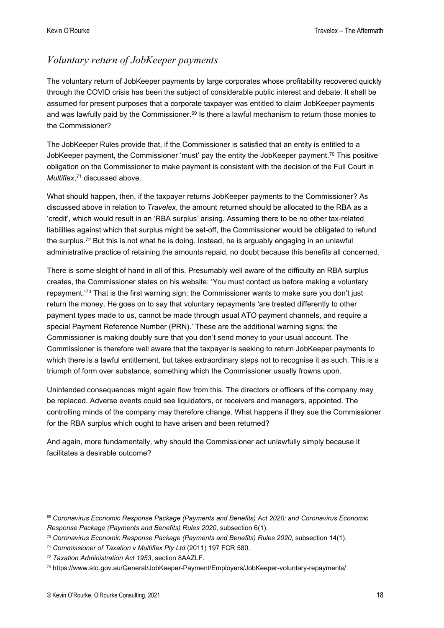#### Voluntary return of JobKeeper payments

The voluntary return of JobKeeper payments by large corporates whose profitability recovered quickly through the COVID crisis has been the subject of considerable public interest and debate. It shall be assumed for present purposes that a corporate taxpayer was entitled to claim JobKeeper payments and was lawfully paid by the Commissioner. $69$  Is there a lawful mechanism to return those monies to the Commissioner?

The JobKeeper Rules provide that, if the Commissioner is satisfied that an entity is entitled to a JobKeeper payment, the Commissioner 'must' pay the entity the JobKeeper payment.<sup>70</sup> This positive obligation on the Commissioner to make payment is consistent with the decision of the Full Court in Multiflex,<sup>71</sup> discussed above.

What should happen, then, if the taxpayer returns JobKeeper payments to the Commissioner? As discussed above in relation to Travelex, the amount returned should be allocated to the RBA as a 'credit', which would result in an 'RBA surplus' arising. Assuming there to be no other tax-related liabilities against which that surplus might be set-off, the Commissioner would be obligated to refund the surplus.<sup>72</sup> But this is not what he is doing. Instead, he is arguably engaging in an unlawful administrative practice of retaining the amounts repaid, no doubt because this benefits all concerned.

There is some sleight of hand in all of this. Presumably well aware of the difficulty an RBA surplus creates, the Commissioner states on his website: 'You must contact us before making a voluntary repayment.'<sup>73</sup> That is the first warning sign; the Commissioner wants to make sure you don't just return the money. He goes on to say that voluntary repayments 'are treated differently to other payment types made to us, cannot be made through usual ATO payment channels, and require a special Payment Reference Number (PRN).' These are the additional warning signs; the Commissioner is making doubly sure that you don't send money to your usual account. The Commissioner is therefore well aware that the taxpayer is seeking to return JobKeeper payments to which there is a lawful entitlement, but takes extraordinary steps not to recognise it as such. This is a triumph of form over substance, something which the Commissioner usually frowns upon.

Unintended consequences might again flow from this. The directors or officers of the company may be replaced. Adverse events could see liquidators, or receivers and managers, appointed. The controlling minds of the company may therefore change. What happens if they sue the Commissioner for the RBA surplus which ought to have arisen and been returned?

And again, more fundamentally, why should the Commissioner act unlawfully simply because it facilitates a desirable outcome?

<sup>&</sup>lt;sup>69</sup> Coronavirus Economic Response Package (Payments and Benefits) Act 2020; and Coronavirus Economic Response Package (Payments and Benefits) Rules 2020, subsection 6(1).

 $70$  Coronavirus Economic Response Package (Payments and Benefits) Rules 2020, subsection 14(1).

<sup>71</sup> Commissioner of Taxation v Multiflex Pty Ltd (2011) 197 FCR 580.

<sup>72</sup> Taxation Administration Act 1953, section 8AAZLF.

<sup>73</sup> https://www.ato.gov.au/General/JobKeeper-Payment/Employers/JobKeeper-voluntary-repayments/